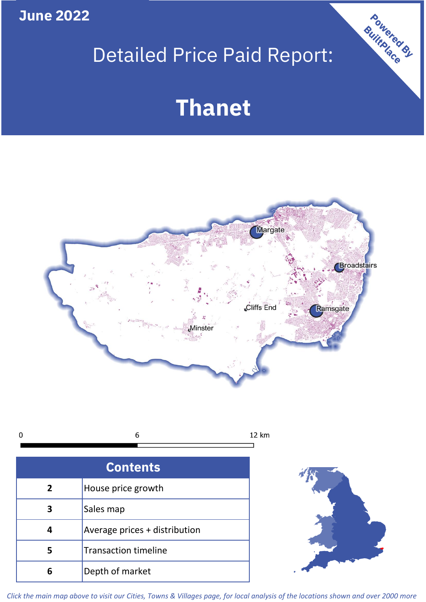**June 2022**

# Detailed Price Paid Report:

# **Thanet**



 $\mathbf 0$ 6 12 km

| <b>Contents</b> |                               |  |  |
|-----------------|-------------------------------|--|--|
| $\mathbf{2}$    | House price growth            |  |  |
|                 | Sales map                     |  |  |
|                 | Average prices + distribution |  |  |
| 5               | <b>Transaction timeline</b>   |  |  |
|                 | Depth of market               |  |  |



Powered By

*Click the main map above to visit our Cities, Towns & Villages page, for local analysis of the locations shown and over 2000 more*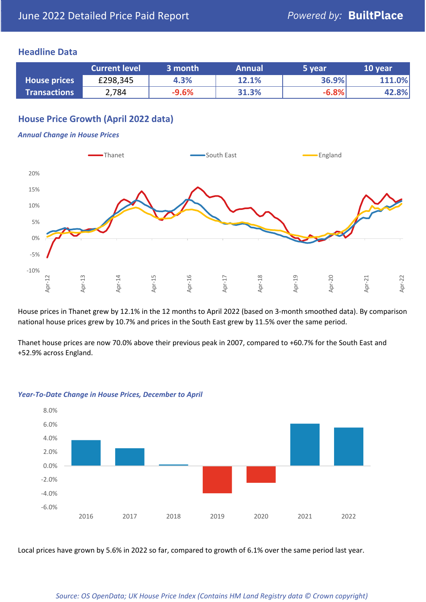# **Headline Data**

|                     | <b>Current level</b> | 3 month | <b>Annual</b> | 5 year  | 10 year |
|---------------------|----------------------|---------|---------------|---------|---------|
| <b>House prices</b> | £298,345             | 4.3%    | 12.1%         | 36.9%   | 111.0%  |
| <b>Transactions</b> | 2,784                | $-9.6%$ | 31.3%         | $-6.8%$ | 42.8%   |

# **House Price Growth (April 2022 data)**

#### *Annual Change in House Prices*



House prices in Thanet grew by 12.1% in the 12 months to April 2022 (based on 3-month smoothed data). By comparison national house prices grew by 10.7% and prices in the South East grew by 11.5% over the same period.

Thanet house prices are now 70.0% above their previous peak in 2007, compared to +60.7% for the South East and +52.9% across England.



#### *Year-To-Date Change in House Prices, December to April*

Local prices have grown by 5.6% in 2022 so far, compared to growth of 6.1% over the same period last year.

#### *Source: OS OpenData; UK House Price Index (Contains HM Land Registry data © Crown copyright)*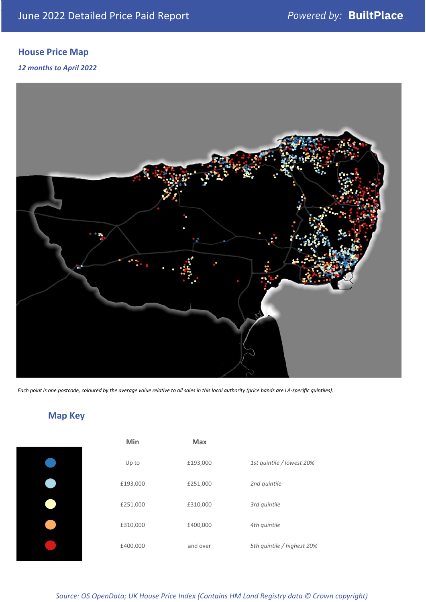# **House Price Map**

# *12 months to April 2022*



*Each point is one postcode, coloured by the average value relative to all sales in this local authority (price bands are LA-specific quintiles).*

**Map Key**

| Min      | <b>Max</b> |                            |
|----------|------------|----------------------------|
| Up to    | £193,000   | 1st quintile / lowest 20%  |
| £193,000 | £251,000   | 2nd quintile               |
| £251,000 | £310,000   | 3rd quintile               |
| £310,000 | £400,000   | 4th quintile               |
| £400,000 | and over   | 5th quintile / highest 20% |

### *Source: OS OpenData; UK House Price Index (Contains HM Land Registry data © Crown copyright)*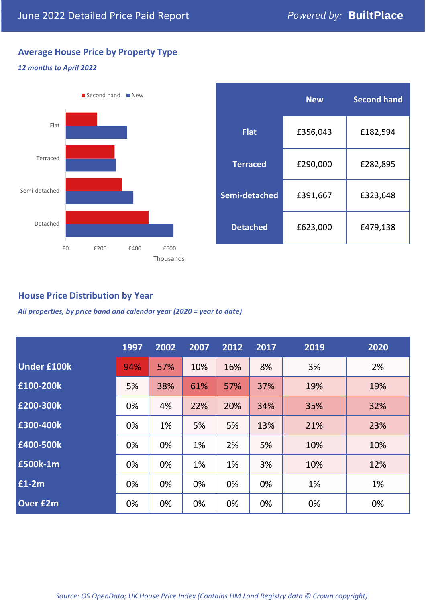# **Average House Price by Property Type**

# *12 months to April 2022*



|                 | <b>New</b> | <b>Second hand</b> |  |  |
|-----------------|------------|--------------------|--|--|
| <b>Flat</b>     | £356,043   | £182,594           |  |  |
| <b>Terraced</b> | £290,000   | £282,895           |  |  |
| Semi-detached   | £391,667   | £323,648           |  |  |
| <b>Detached</b> | £623,000   | £479,138           |  |  |

# **House Price Distribution by Year**

*All properties, by price band and calendar year (2020 = year to date)*

|                    | 1997 | 2002 | 2007 | 2012 | 2017 | 2019 | 2020 |
|--------------------|------|------|------|------|------|------|------|
| <b>Under £100k</b> | 94%  | 57%  | 10%  | 16%  | 8%   | 3%   | 2%   |
| £100-200k          | 5%   | 38%  | 61%  | 57%  | 37%  | 19%  | 19%  |
| E200-300k          | 0%   | 4%   | 22%  | 20%  | 34%  | 35%  | 32%  |
| £300-400k          | 0%   | 1%   | 5%   | 5%   | 13%  | 21%  | 23%  |
| £400-500k          | 0%   | 0%   | 1%   | 2%   | 5%   | 10%  | 10%  |
| <b>£500k-1m</b>    | 0%   | 0%   | 1%   | 1%   | 3%   | 10%  | 12%  |
| £1-2m              | 0%   | 0%   | 0%   | 0%   | 0%   | 1%   | 1%   |
| <b>Over £2m</b>    | 0%   | 0%   | 0%   | 0%   | 0%   | 0%   | 0%   |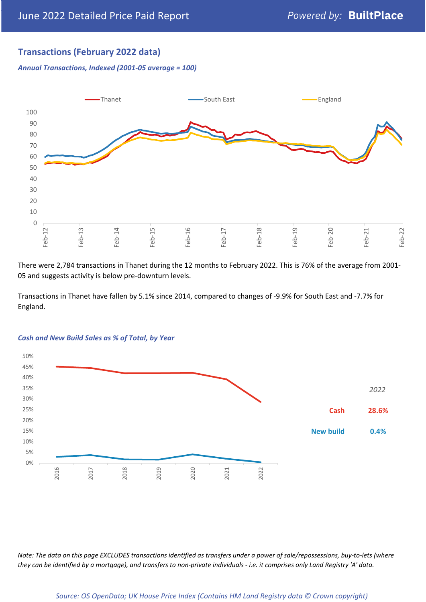# **Transactions (February 2022 data)**

*Annual Transactions, Indexed (2001-05 average = 100)*



There were 2,784 transactions in Thanet during the 12 months to February 2022. This is 76% of the average from 2001- 05 and suggests activity is below pre-downturn levels.

Transactions in Thanet have fallen by 5.1% since 2014, compared to changes of -9.9% for South East and -7.7% for England.



#### *Cash and New Build Sales as % of Total, by Year*

*Note: The data on this page EXCLUDES transactions identified as transfers under a power of sale/repossessions, buy-to-lets (where they can be identified by a mortgage), and transfers to non-private individuals - i.e. it comprises only Land Registry 'A' data.*